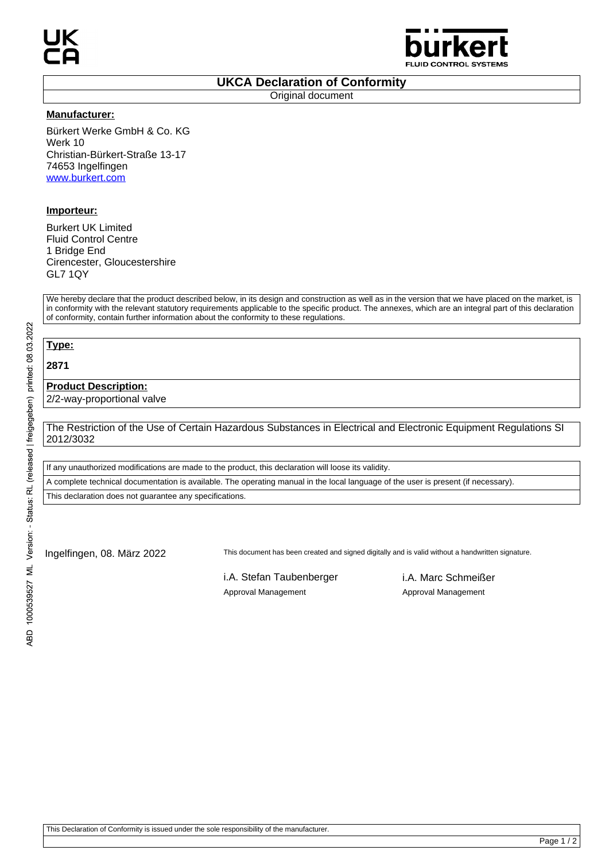

## **UKCA Declaration of Conformity**

Original document

#### **Manufacturer:**

Bürkert Werke GmbH & Co. KG Werk 10 Christian-Bürkert-Straße 13-17 74653 Ingelfingen www.burkert.com

### **Importeur:**

Burkert UK Limited Fluid Control Centre 1 Bridge End Cirencester, Gloucestershire GL7 1QY

We hereby declare that the product described below, in its design and construction as well as in the version that we have placed on the market, is in conformity with the relevant statutory requirements applicable to the specific product. The annexes, which are an integral part of this declaration of conformity, contain further information about the conformity to these regulations.

# **Type:**

**2871**

### **Product Description:**

2/2-way-proportional valve

The Restriction of the Use of Certain Hazardous Substances in Electrical and Electronic Equipment Regulations SI 2012/3032

If any unauthorized modifications are made to the product, this declaration will loose its validity.

A complete technical documentation is available. The operating manual in the local language of the user is present (if necessary).

This declaration does not guarantee any specifications.

Ingelfingen, 08. März 2022 This document has been created and signed digitally and is valid without a handwritten signature.

i.A. Stefan Taubenberger i.A. Marc Schmeißer Approval Management Approval Management